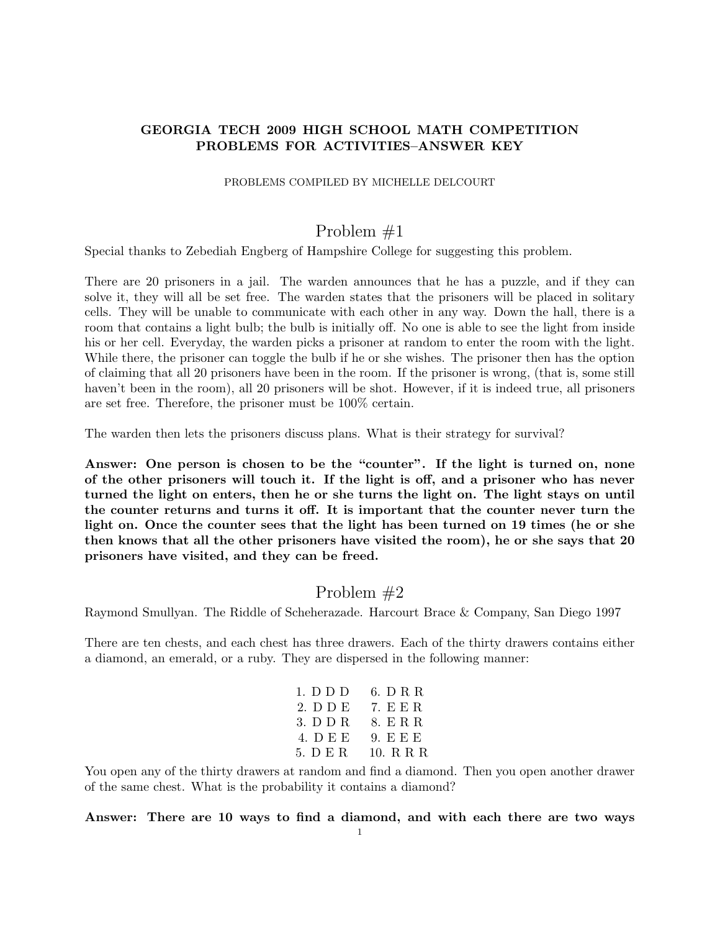### GEORGIA TECH 2009 HIGH SCHOOL MATH COMPETITION PROBLEMS FOR ACTIVITIES–ANSWER KEY

#### PROBLEMS COMPILED BY MICHELLE DELCOURT

# Problem #1

Special thanks to Zebediah Engberg of Hampshire College for suggesting this problem.

There are 20 prisoners in a jail. The warden announces that he has a puzzle, and if they can solve it, they will all be set free. The warden states that the prisoners will be placed in solitary cells. They will be unable to communicate with each other in any way. Down the hall, there is a room that contains a light bulb; the bulb is initially off. No one is able to see the light from inside his or her cell. Everyday, the warden picks a prisoner at random to enter the room with the light. While there, the prisoner can toggle the bulb if he or she wishes. The prisoner then has the option of claiming that all 20 prisoners have been in the room. If the prisoner is wrong, (that is, some still haven't been in the room), all 20 prisoners will be shot. However, if it is indeed true, all prisoners are set free. Therefore, the prisoner must be 100% certain.

The warden then lets the prisoners discuss plans. What is their strategy for survival?

Answer: One person is chosen to be the "counter". If the light is turned on, none of the other prisoners will touch it. If the light is off, and a prisoner who has never turned the light on enters, then he or she turns the light on. The light stays on until the counter returns and turns it off. It is important that the counter never turn the light on. Once the counter sees that the light has been turned on 19 times (he or she then knows that all the other prisoners have visited the room), he or she says that 20 prisoners have visited, and they can be freed.

### Problem #2

Raymond Smullyan. The Riddle of Scheherazade. Harcourt Brace & Company, San Diego 1997

There are ten chests, and each chest has three drawers. Each of the thirty drawers contains either a diamond, an emerald, or a ruby. They are dispersed in the following manner:

| 1. D D D | 6. D R R  |
|----------|-----------|
| 2. D D E | 7. E E R. |
| 3. D D R | 8. E R R  |
| 4. DEE   | 9. E E E  |
| 5. D E R | 10. R R R |

You open any of the thirty drawers at random and find a diamond. Then you open another drawer of the same chest. What is the probability it contains a diamond?

Answer: There are 10 ways to find a diamond, and with each there are two ways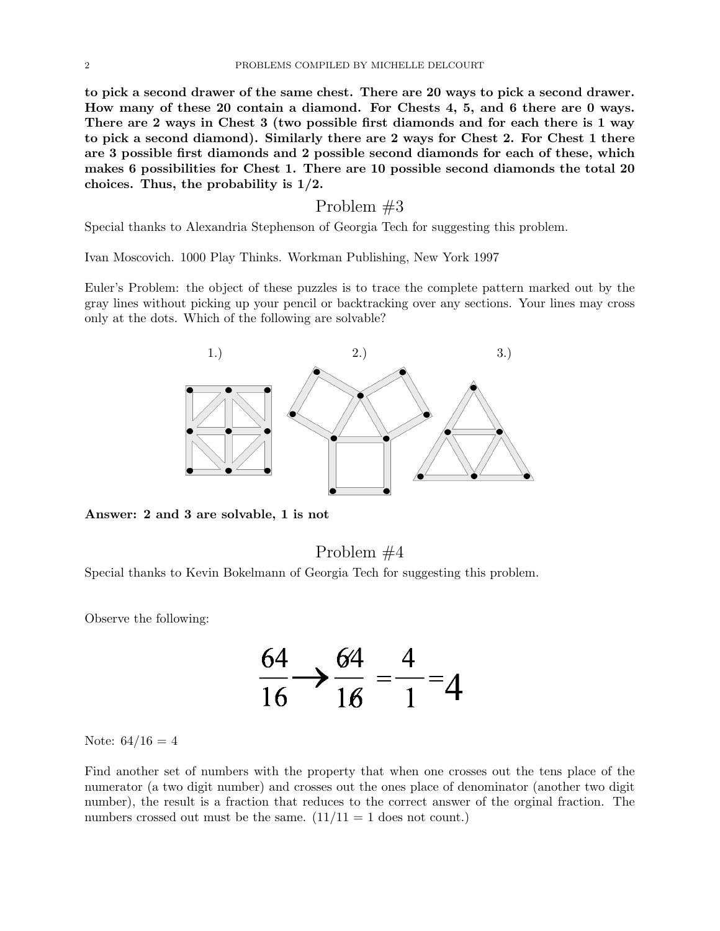to pick a second drawer of the same chest. There are 20 ways to pick a second drawer. How many of these 20 contain a diamond. For Chests 4, 5, and 6 there are 0 ways. There are 2 ways in Chest 3 (two possible first diamonds and for each there is 1 way to pick a second diamond). Similarly there are 2 ways for Chest 2. For Chest 1 there are 3 possible first diamonds and 2 possible second diamonds for each of these, which makes 6 possibilities for Chest 1. There are 10 possible second diamonds the total 20 choices. Thus, the probability is 1/2.

### Problem #3

Special thanks to Alexandria Stephenson of Georgia Tech for suggesting this problem.

Ivan Moscovich. 1000 Play Thinks. Workman Publishing, New York 1997

Euler's Problem: the object of these puzzles is to trace the complete pattern marked out by the gray lines without picking up your pencil or backtracking over any sections. Your lines may cross only at the dots. Which of the following are solvable?



Answer: 2 and 3 are solvable, 1 is not

# Problem #4

Special thanks to Kevin Bokelmann of Georgia Tech for suggesting this problem.

Observe the following:



Note:  $64/16 = 4$ 

Find another set of numbers with the property that when one crosses out the tens place of the numerator (a two digit number) and crosses out the ones place of denominator (another two digit number), the result is a fraction that reduces to the correct answer of the orginal fraction. The numbers crossed out must be the same.  $(11/11 = 1$  does not count.)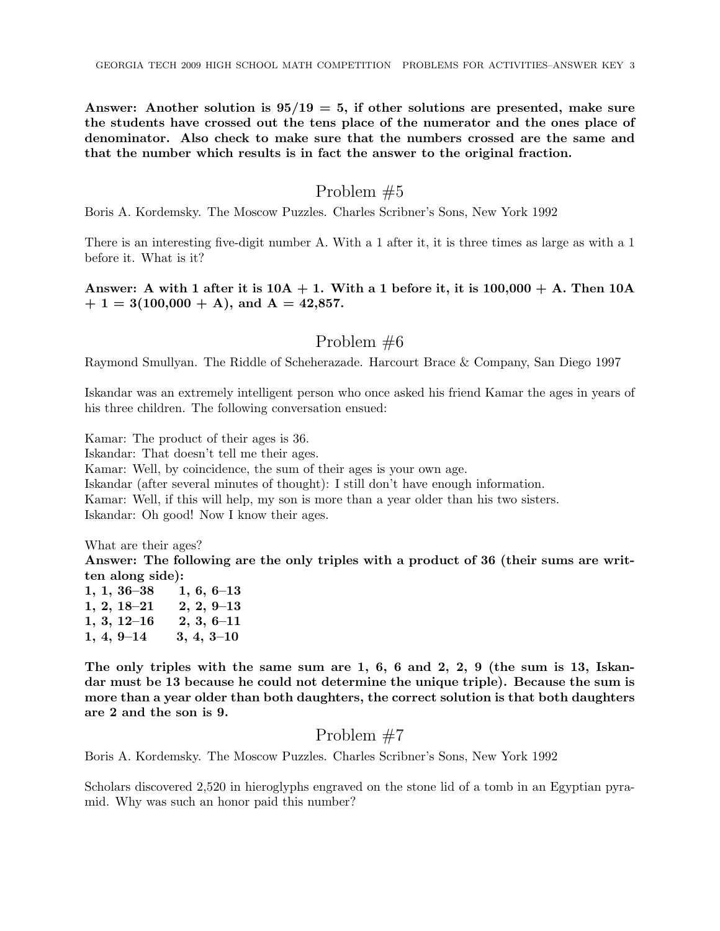Answer: Another solution is  $95/19 = 5$ , if other solutions are presented, make sure the students have crossed out the tens place of the numerator and the ones place of denominator. Also check to make sure that the numbers crossed are the same and that the number which results is in fact the answer to the original fraction.

# Problem #5

Boris A. Kordemsky. The Moscow Puzzles. Charles Scribner's Sons, New York 1992

There is an interesting five-digit number A. With a 1 after it, it is three times as large as with a 1 before it. What is it?

### Answer: A with 1 after it is  $10A + 1$ . With a 1 before it, it is  $100,000 + A$ . Then  $10A$  $+ 1 = 3(100,000 + A)$ , and  $A = 42,857$ .

# Problem #6

Raymond Smullyan. The Riddle of Scheherazade. Harcourt Brace & Company, San Diego 1997

Iskandar was an extremely intelligent person who once asked his friend Kamar the ages in years of his three children. The following conversation ensued:

Kamar: The product of their ages is 36.

Iskandar: That doesn't tell me their ages.

Kamar: Well, by coincidence, the sum of their ages is your own age.

Iskandar (after several minutes of thought): I still don't have enough information.

Kamar: Well, if this will help, my son is more than a year older than his two sisters.

Iskandar: Oh good! Now I know their ages.

What are their ages?

Answer: The following are the only triples with a product of 36 (their sums are written along side):

| $1, 1, 36 - 38$ | $1, 6, 6-13$   |
|-----------------|----------------|
| $1, 2, 18 - 21$ | $2, 2, 9-13$   |
| $1, 3, 12 - 16$ | $2, 3, 6-11$   |
| $1, 4, 9-14$    | $3, 4, 3 - 10$ |

The only triples with the same sum are 1, 6, 6 and 2, 2, 9 (the sum is 13, Iskandar must be 13 because he could not determine the unique triple). Because the sum is more than a year older than both daughters, the correct solution is that both daughters are 2 and the son is 9.

# Problem #7

Boris A. Kordemsky. The Moscow Puzzles. Charles Scribner's Sons, New York 1992

Scholars discovered 2,520 in hieroglyphs engraved on the stone lid of a tomb in an Egyptian pyramid. Why was such an honor paid this number?